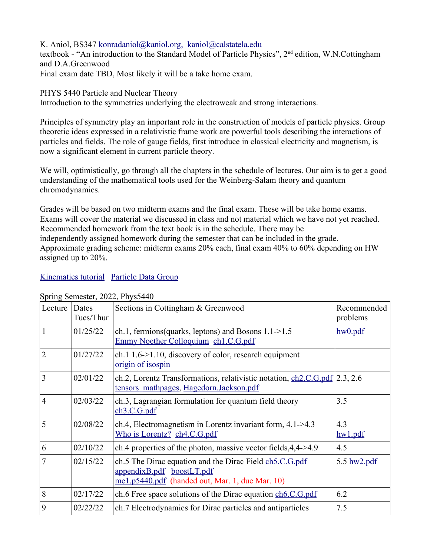K. Aniol, BS347 [konradaniol@kaniol.org,](mailto:konradaniol@kaniol.org) [kaniol@calstatela.edu](mailto:kaniol@calstatela.edu)

textbook - "An introduction to the Standard Model of Particle Physics", 2<sup>nd</sup> edition, W.N.Cottingham and D.A.Greenwood

Final exam date TBD, Most likely it will be a take home exam.

PHYS 5440 Particle and Nuclear Theory

Introduction to the symmetries underlying the electroweak and strong interactions.

Principles of symmetry play an important role in the construction of models of particle physics. Group theoretic ideas expressed in a relativistic frame work are powerful tools describing the interactions of particles and fields. The role of gauge fields, first introduce in classical electricity and magnetism, is now a significant element in current particle theory.

We will, optimistically, go through all the chapters in the schedule of lectures. Our aim is to get a good understanding of the mathematical tools used for the Weinberg-Salam theory and quantum chromodynamics.

Grades will be based on two midterm exams and the final exam. These will be take home exams. Exams will cover the material we discussed in class and not material which we have not yet reached. Recommended homework from the text book is in the schedule. There may be independently assigned homework during the semester that can be included in the grade. Approximate grading scheme: midterm exams 20% each, final exam 40% to 60% depending on HW assigned up to 20%.

## [Kinematics tutorial](http://east-of-rhine.kaniol.org/p5440/kinematics.pdf) [Particle Data Group](https://pdg.lbl.gov/)

| Lecture        | Dates<br>Tues/Thur | Sections in Cottingham & Greenwood                                                                                                      | Recommended<br>problems |
|----------------|--------------------|-----------------------------------------------------------------------------------------------------------------------------------------|-------------------------|
|                | 01/25/22           | ch.1, fermions (quarks, leptons) and Bosons $1.1 - 1.5$<br>Emmy Noether Colloquium ch1.C.G.pdf                                          | hw0.pdf                 |
| $\overline{2}$ | 01/27/22           | ch.1 1.6->1.10, discovery of color, research equipment<br><u>origin of isospin</u>                                                      |                         |
| 3              | 02/01/22           | ch.2, Lorentz Transformations, relativistic notation, ch2.C.G.pdf 2.3, 2.6<br>tensors mathpages, Hagedorn.Jackson.pdf                   |                         |
| 4              | 02/03/22           | ch.3, Lagrangian formulation for quantum field theory<br>ch3.C.G.pdf                                                                    | 3.5                     |
| 5              | 02/08/22           | ch.4, Electromagnetism in Lorentz invariant form, $4.1 - 4.3$<br>Who is Lorentz? ch4.C.G.pdf                                            | 4.3<br>hw1.pdf          |
| 6              | 02/10/22           | ch.4 properties of the photon, massive vector fields, $4,4$ -> $4.9$                                                                    | 4.5                     |
| 7              | 02/15/22           | ch.5 The Dirac equation and the Dirac Field ch5.C.G.pdf<br>appendixB.pdf boostLT.pdf<br>me1.p5440.pdf (handed out, Mar. 1, due Mar. 10) | 5.5 $h$ w $2$ .pdf      |
| 8              | 02/17/22           | ch.6 Free space solutions of the Dirac equation ch6.C.G.pdf                                                                             | 6.2                     |
| 9              | 02/22/22           | ch.7 Electrodynamics for Dirac particles and antiparticles                                                                              | 7.5                     |

## Spring Semester, 2022, Phys5440